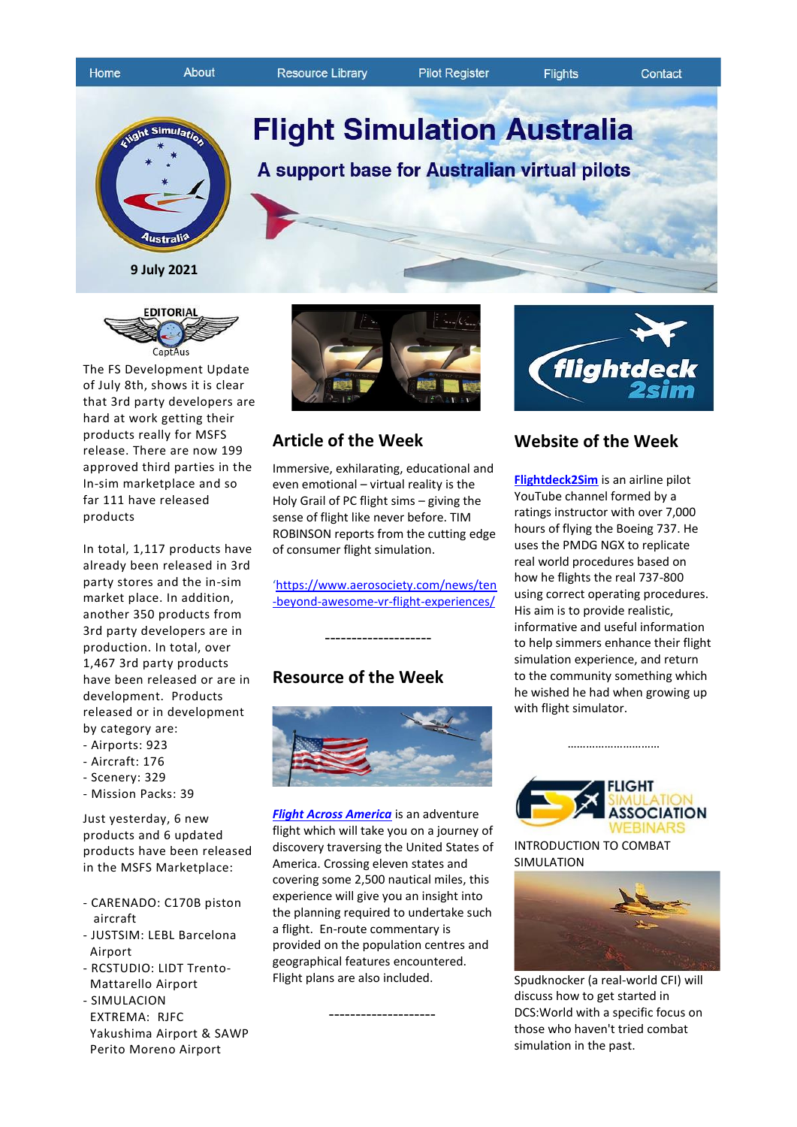

**Resource Library** 

Contact





**9 July 2021**



The FS Development Update of July 8th, shows it is clear that 3rd party developers are hard at work getting their products really for MSFS release. There are now 199 approved third parties in the In-sim marketplace and so far 111 have released products

In total, 1,117 products have already been released in 3rd party stores and the in-sim market place. In addition, another 350 products from 3rd party developers are in production. In total, over 1,467 3rd party products have been released or are in development. Products released or in development by category are:

- Airports: 923
- Aircraft: 176
- Scenery: 329
- Mission Packs: 39

Just yesterday, 6 new products and 6 updated products have been released in the MSFS Marketplace:

- CARENADO: C170B piston aircraft
- JUSTSIM: LEBL Barcelona Airport
- RCSTUDIO: LIDT Trento- Mattarello Airport
- SIMULACION EXTREMA: RJFC Yakushima Airport & SAWP
- Perito Moreno Airport



## **Article of the Week**

Immersive, exhilarating, educational and even emotional – virtual reality is the Holy Grail of PC flight sims – giving the sense of flight like never before. TIM ROBINSON reports from the cutting edge of consumer flight simulation.

'[https://www.aerosociety.com/news/ten](https://www.aerosociety.com/news/ten-beyond-awesome-vr-flight-experiences/) [-beyond-awesome-vr-flight-experiences/](https://www.aerosociety.com/news/ten-beyond-awesome-vr-flight-experiences/)

# **Resource of the Week**

--------------------



*[Flight Across America](https://3824fed8-18d8-4769-be3b-46b72a5b8caf.filesusr.com/ugd/8e6da7_b154212c2aab4183a8128207b70fa194.pdf)* is an adventure flight which will take you on a journey of discovery traversing the United States of America. Crossing eleven states and covering some 2,500 nautical miles, this experience will give you an insight into the planning required to undertake such a flight. En-route commentary is provided on the population centres and geographical features encountered. Flight plans are also included.

--------------------



# **Website of the Week**

**[Flightdeck2Sim](https://www.youtube.com/channel/UCZ_X7kk3XrHbl6ZWQ4wpfkQ/videos)** is an airline pilot YouTube channel formed by a ratings instructor with over 7,000 hours of flying the Boeing 737. He uses the PMDG NGX to replicate real world procedures based on how he flights the real 737-800 using correct operating procedures. His aim is to provide realistic, informative and useful information to help simmers enhance their flight simulation experience, and return to the community something which he wished he had when growing up with flight simulator.



……………………………

INTRODUCTION TO COMBAT SIMULATION



Spudknocker (a real-world CFI) will discuss how to get started in DCS:World with a specific focus on those who haven't tried combat simulation in the past.